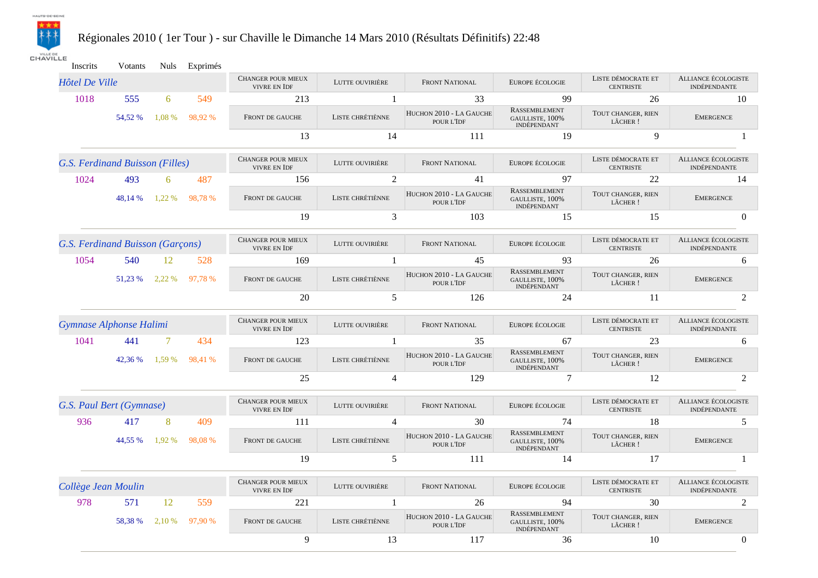

## Régionales 2010 ( 1er Tour ) - sur Chaville le Dimanche 14 Mars 2010 (Résultats Définitifs) 22:48

**CHAVILLE** 

Inscrits Votants Nuls Exprimés

| <b>Hôtel De Ville</b>    |                                  |        |         | CHANGER POUR MIEUX<br><b>VIVRE EN IDF</b> | LUTTE OUVIRIÈRE  | <b>FRONT NATIONAL</b>                 | EUROPE ÉCOLOGIE                                        | LISTE DÉMOCRATE ET<br><b>CENTRISTE</b> | ALLIANCE ÉCOLOGISTE<br><b>INDÉPENDANTE</b> |
|--------------------------|----------------------------------|--------|---------|-------------------------------------------|------------------|---------------------------------------|--------------------------------------------------------|----------------------------------------|--------------------------------------------|
| 1018                     | 555                              | 6      | 549     | 213                                       |                  | 33                                    | 99                                                     | 26                                     | 10                                         |
|                          | 54.52 %                          | 1.08 % | 98.92 % | FRONT DE GAUCHE                           | LISTE CHRÉTIÈNNE | HUCHON 2010 - LA GAUCHE<br>POUR L'IDF | <b>RASSEMBLEMENT</b><br>GAULLISTE, 100%<br>INDÉPENDANT | TOUT CHANGER, RIEN<br>LÂCHER !         | <b>EMERGENCE</b>                           |
|                          |                                  |        |         | 13                                        | 14               | 111                                   | 19                                                     | 9                                      |                                            |
|                          | G.S. Ferdinand Buisson (Filles)  |        |         | CHANGER POUR MIEUX<br>VIVRE EN IDF        | LUTTE OUVIRIÈRE  | FRONT NATIONAL                        | EUROPE ÉCOLOGIE                                        | LISTE DÉMOCRATE ET<br><b>CENTRISTE</b> | ALLIANCE ÉCOLOGISTE<br>INDÉPENDANTE        |
| 1024                     | 493                              | 6      | 487     | 156                                       | 2                | 41                                    | 97                                                     | 22                                     | 14                                         |
|                          | 48.14 %                          | 1.22 % | 98,78 % | FRONT DE GAUCHE                           | LISTE CHRÉTIÈNNE | HUCHON 2010 - LA GAUCHE<br>POUR L'IDF | RASSEMBLEMENT<br>GAULLISTE, 100%<br>INDÉPENDANT        | TOUT CHANGER, RIEN<br>LÂCHER !         | <b>EMERGENCE</b>                           |
|                          |                                  |        |         | 19                                        | 3                | 103                                   | 15                                                     | 15                                     | $\Omega$                                   |
|                          | G.S. Ferdinand Buisson (Garçons) |        |         | CHANGER POUR MIEUX<br>VIVRE EN IDF        | LUTTE OUVIRIÈRE  | <b>FRONT NATIONAL</b>                 | EUROPE ÉCOLOGIE                                        | LISTE DÉMOCRATE ET<br><b>CENTRISTE</b> | <b>ALLIANCE ÉCOLOGISTE</b><br>INDÉPENDANTE |
| 1054                     | 540                              | 12     | 528     | 169                                       |                  | 45                                    | 93                                                     | 26                                     | 6                                          |
|                          | 51.23 %                          | 2,22 % | 97,78 % | FRONT DE GAUCHE                           | LISTE CHRÉTIÈNNE | HUCHON 2010 - LA GAUCHE<br>POUR L'IDF | RASSEMBLEMENT<br>GAULLISTE, 100%<br>INDÉPENDANT        | TOUT CHANGER, RIEN<br>LÂCHER !         | <b>EMERGENCE</b>                           |
|                          |                                  |        |         | 20                                        | 5                | 126                                   | 24                                                     | 11                                     | 2                                          |
| Gymnase Alphonse Halimi  |                                  |        |         | <b>CHANGER POUR MIEUX</b><br>VIVRE EN IDF | LUTTE OUVIRIÈRE  | FRONT NATIONAL                        | EUROPE ÉCOLOGIE                                        | LISTE DÉMOCRATE ET<br><b>CENTRISTE</b> | ALLIANCE ÉCOLOGISTE<br><b>INDÉPENDANTE</b> |
| 1041                     | 441                              | $\tau$ | 434     | 123                                       | -1               | 35                                    | 67                                                     | 23                                     | 6                                          |
|                          | 42.36 %                          | 1,59 % | 98,41 % | FRONT DE GAUCHE                           | LISTE CHRÉTIÈNNE | HUCHON 2010 - LA GAUCHE<br>POUR L'IDF | RASSEMBLEMENT<br>GAULLISTE, 100%<br>INDÉPENDANT        | TOUT CHANGER, RIEN<br>LÂCHER !         | <b>EMERGENCE</b>                           |
|                          |                                  |        |         | 25                                        | $\overline{4}$   | 129                                   | 7                                                      | 12                                     | 2                                          |
| G.S. Paul Bert (Gymnase) |                                  |        |         | <b>CHANGER POUR MIEUX</b><br>VIVRE EN IDF | LUTTE OUVIRIÈRE  | <b>FRONT NATIONAL</b>                 | EUROPE ÉCOLOGIE                                        | LISTE DÉMOCRATE ET<br><b>CENTRISTE</b> | ALLIANCE ÉCOLOGISTE<br><b>INDÉPENDANTE</b> |
| 936                      | 417                              | 8      | 409     | 111                                       | $\overline{4}$   | 30                                    | 74                                                     | 18                                     | 5                                          |
|                          | 44,55 %                          | 1,92 % | 98.08%  | FRONT DE GAUCHE                           | LISTE CHRÉTIÈNNE | HUCHON 2010 - LA GAUCHE<br>POUR L'IDF | <b>RASSEMBLEMENT</b><br>GAULLISTE, 100%<br>INDÉPENDANT | TOUT CHANGER, RIEN<br>LÂCHER !         | <b>EMERGENCE</b>                           |
|                          |                                  |        |         | 19                                        | 5                | 111                                   | 14                                                     | 17                                     |                                            |
| Collège Jean Moulin      |                                  |        |         | CHANGER POUR MIEUX<br><b>VIVRE EN IDF</b> | LUTTE OUVIRIÈRE  | <b>FRONT NATIONAL</b>                 | EUROPE ÉCOLOGIE                                        | LISTE DÉMOCRATE ET<br><b>CENTRISTE</b> | ALLIANCE ÉCOLOGISTE<br>INDÉPENDANTE        |
| 978                      | 571                              | 12     | 559     | 221                                       |                  | 26                                    | 94                                                     | 30                                     | $\mathfrak{D}$                             |
|                          | 58.38 %                          | 2,10 % | 97.90 % | FRONT DE GAUCHE                           | LISTE CHRÉTIÈNNE | HUCHON 2010 - LA GAUCHE<br>POUR L'IDF | <b>RASSEMBLEMENT</b><br>GAULLISTE, 100%<br>INDÉPENDANT | TOUT CHANGER, RIEN<br>LÂCHER !         | <b>EMERGENCE</b>                           |
|                          |                                  |        |         | 9                                         | 13               | 117                                   | 36                                                     | 10                                     | $\overline{0}$                             |
|                          |                                  |        |         |                                           |                  |                                       |                                                        |                                        |                                            |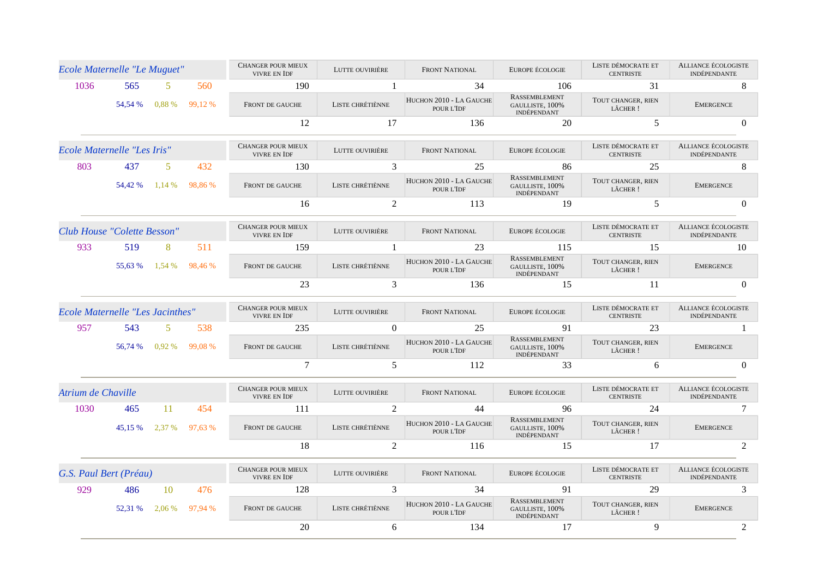| Ecole Maternelle "Le Muguet"            |         |          |         | <b>CHANGER POUR MIEUX</b><br>VIVRE EN IDF | LUTTE OUVIRIÈRE  | <b>FRONT NATIONAL</b>                 | EUROPE ÉCOLOGIE                                        | LISTE DÉMOCRATE ET<br><b>CENTRISTE</b> | ALLIANCE ÉCOLOGISTE<br><b>INDÉPENDANTE</b> |
|-----------------------------------------|---------|----------|---------|-------------------------------------------|------------------|---------------------------------------|--------------------------------------------------------|----------------------------------------|--------------------------------------------|
| 1036                                    | 565     | 5        | 560     | 190                                       | -1               | 34                                    | 106                                                    | 31                                     | 8                                          |
|                                         | 54,54 % | 0.88 %   | 99,12 % | FRONT DE GAUCHE                           | LISTE CHRÉTIÈNNE | HUCHON 2010 - LA GAUCHE<br>POUR L'IDF | <b>RASSEMBLEMENT</b><br>GAULLISTE, 100%<br>INDÉPENDANT | TOUT CHANGER, RIEN<br>LÂCHER !         | <b>EMERGENCE</b>                           |
|                                         |         |          |         | 12                                        | 17               | 136                                   | 20                                                     | 5                                      | $\Omega$                                   |
| Ecole Maternelle "Les Iris"             |         |          |         | <b>CHANGER POUR MIEUX</b><br>VIVRE EN IDF | LUTTE OUVIRIÈRE  | <b>FRONT NATIONAL</b>                 | EUROPE ÉCOLOGIE                                        | LISTE DÉMOCRATE ET<br><b>CENTRISTE</b> | ALLIANCE ÉCOLOGISTE<br><b>INDÉPENDANTE</b> |
| 803                                     | 437     | .5.      | 432     | 130                                       | $\mathcal{E}$    | 25                                    | 86                                                     | 25                                     | 8                                          |
|                                         | 54,42 % | 1.14 %   | 98.86%  | FRONT DE GAUCHE                           | LISTE CHRÉTIÈNNE | HUCHON 2010 - LA GAUCHE<br>POUR L'IDF | <b>RASSEMBLEMENT</b><br>GAULLISTE, 100%<br>INDÉPENDANT | TOUT CHANGER, RIEN<br>LÂCHER !         | <b>EMERGENCE</b>                           |
|                                         |         |          |         | 16                                        | $\overline{2}$   | 113                                   | 19                                                     | 5                                      | $\Omega$                                   |
| Club House "Colette Besson"             |         |          |         | CHANGER POUR MIEUX<br>VIVRE EN IDF        | LUTTE OUVIRIÈRE  | <b>FRONT NATIONAL</b>                 | EUROPE ÉCOLOGIE                                        | LISTE DÉMOCRATE ET<br><b>CENTRISTE</b> | ALLIANCE ÉCOLOGISTE<br>INDÉPENDANTE        |
| 933                                     | 519     | 8        | 511     | 159                                       |                  | 23                                    | 115                                                    | 15                                     | 10                                         |
|                                         | 55.63 % | 1,54 %   | 98,46 % | FRONT DE GAUCHE                           | LISTE CHRÉTIÈNNE | HUCHON 2010 - LA GAUCHE<br>POUR L'IDF | RASSEMBLEMENT<br>GAULLISTE, 100%<br>INDÉPENDANT        | TOUT CHANGER, RIEN<br>LÂCHER !         | <b>EMERGENCE</b>                           |
|                                         |         |          |         | 23                                        | 3                | 136                                   | 15                                                     | 11                                     | $\Omega$                                   |
| <b>Ecole Maternelle "Les Jacinthes"</b> |         |          |         | CHANGER POUR MIEUX<br><b>VIVRE EN IDF</b> | LUTTE OUVIRIÈRE  | FRONT NATIONAL                        | EUROPE ÉCOLOGIE                                        | LISTE DÉMOCRATE ET<br><b>CENTRISTE</b> | <b>ALLIANCE ÉCOLOGISTE</b><br>INDÉPENDANTE |
| 957                                     | 543     | 5        | 538     | 235                                       | $\Omega$         | 25                                    | 91                                                     | 23                                     |                                            |
|                                         | 56.74 % | $0.92\%$ | 99.08 % | FRONT DE GAUCHE                           | LISTE CHRÉTIÈNNE | HUCHON 2010 - LA GAUCHE<br>POUR L'IDF | RASSEMBLEMENT<br>GAULLISTE, 100%<br>INDÉPENDANT        | TOUT CHANGER, RIEN<br>LÂCHER !         | <b>EMERGENCE</b>                           |
|                                         |         |          |         | $\tau$                                    | 5                | 112                                   | 33                                                     | 6                                      | $\mathbf{0}$                               |
| Atrium de Chaville                      |         |          |         | CHANGER POUR MIEUX<br><b>VIVRE EN IDF</b> | LUTTE OUVIRIÈRE  | FRONT NATIONAL                        | EUROPE ÉCOLOGIE                                        | LISTE DÉMOCRATE ET<br><b>CENTRISTE</b> | <b>ALLIANCE ÉCOLOGISTE</b><br>INDÉPENDANTE |
| 1030                                    | 465     | 11       | 454     | 111                                       | 2                | 44                                    | 96                                                     | 24                                     | 7                                          |
|                                         | 45,15 % | 2,37 %   | 97,63 % | FRONT DE GAUCHE                           | LISTE CHRÉTIÈNNE | HUCHON 2010 - LA GAUCHE<br>POUR L'IDF | RASSEMBLEMENT<br>GAULLISTE, 100%<br>INDÉPENDANT        | TOUT CHANGER, RIEN<br>LÂCHER !         | <b>EMERGENCE</b>                           |
|                                         |         |          |         | 18                                        | 2                | 116                                   | 15                                                     | 17                                     | 2                                          |
| G.S. Paul Bert (Préau)                  |         |          |         | <b>CHANGER POUR MIEUX</b><br>VIVRE EN IDF | LUTTE OUVIRIÈRE  | <b>FRONT NATIONAL</b>                 | EUROPE ÉCOLOGIE                                        | LISTE DÉMOCRATE ET<br><b>CENTRISTE</b> | ALLIANCE ÉCOLOGISTE<br>INDÉPENDANTE        |
| 929                                     | 486     | 10       | 476     | 128                                       | 3                | 34                                    | 91                                                     | 29                                     | 3                                          |
|                                         | 52,31 % | 2,06 %   | 97,94 % | FRONT DE GAUCHE                           | LISTE CHRÉTIÈNNE | HUCHON 2010 - LA GAUCHE<br>POUR L'IDF | RASSEMBLEMENT<br>GAULLISTE, 100%<br>INDÉPENDANT        | TOUT CHANGER, RIEN<br>LÂCHER !         | <b>EMERGENCE</b>                           |
|                                         |         |          |         | 20                                        | 6                | 134                                   | 17                                                     | 9                                      | 2                                          |